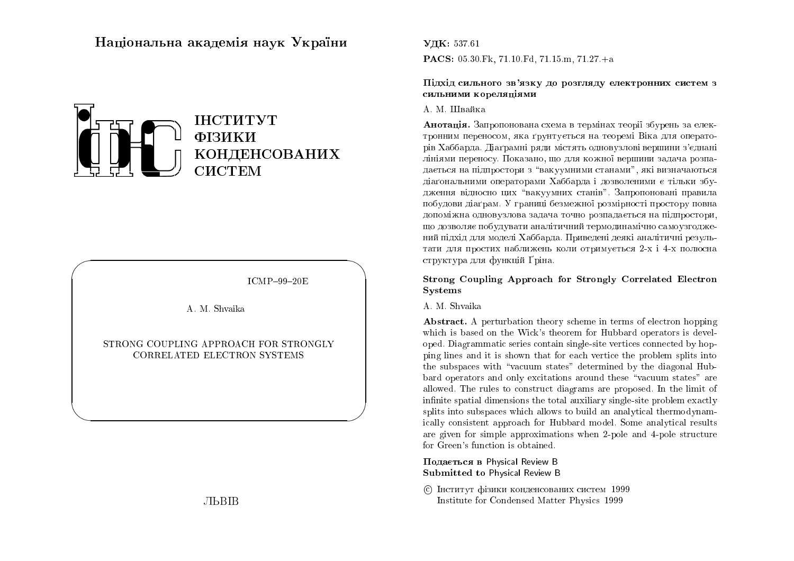# Національна академія наук України



 $ICMP-99-20E$ 

A. M. Shvaika

STRONG COUPLING APPROACH FOR STRONGLY CORRELATED ELECTRON SYSTEMS

**JILBIB** 

# УДК: 537.61 **PACS:** 05.30 Fk, 71.10 Fd, 71.15 m, 71.27 + a

#### Пілхіл сильного зв'язку до розглялу електронних систем з сильними кореляшями

### А. М. Швайка

Анотація. Запропонована схема в термінах теорії збурень за електронним переносом, яка ґрунтується на теоремі Віка для операторів Хаббарда. Діаґрамні ряди містять одновузлові вершини з'єднані лініями переносу. Показано, що для кожної вершини задача розпадається на підпростори з "вакуумними станами", які визначаються діаґональними операторами Хаббарда і дозволеними є тільки збудження відносно цих "вакуумних станів". Запропоновані правила побудови діаґрам. У границі безмежної розмірності простору повна лопоміжна олновузлова залача точно розпалається на пілпростори. шо дозволяє побудувати аналітичний термодинамічно самоузгоджений пілхіл лля молелі Хаббарла. Привелені леякі аналітичні результати для простих наближень коли отримується 2-х і 4-х полюсна структура для функцій Ґріна.

### Strong Coupling Approach for Strongly Correlated Electron **Systems**

#### A. M. Shvaika

**Abstract.** A perturbation theory scheme in terms of electron hopping which is based on the Wick's theorem for Hubbard operators is developed. Diagrammatic series contain single-site vertices connected by hopping lines and it is shown that for each vertice the problem splits into the subspaces with "vacuum states" determined by the diagonal Hubbard operators and only excitations around these "vacuum states" are allowed. The rules to construct diagrams are proposed. In the limit of infinite spatial dimensions the total auxiliary single-site problem exactly splits into subspaces which allows to build an analytical thermodynamically consistent approach for Hubbard model. Some analytical results are given for simple approximations when 2-pole and 4-pole structure for Green's function is obtained.

### Подається в Physical Review B **Submitted to Physical Review B**

С Інститут фізики конденсованих систем 1999 Institute for Condensed Matter Physics 1999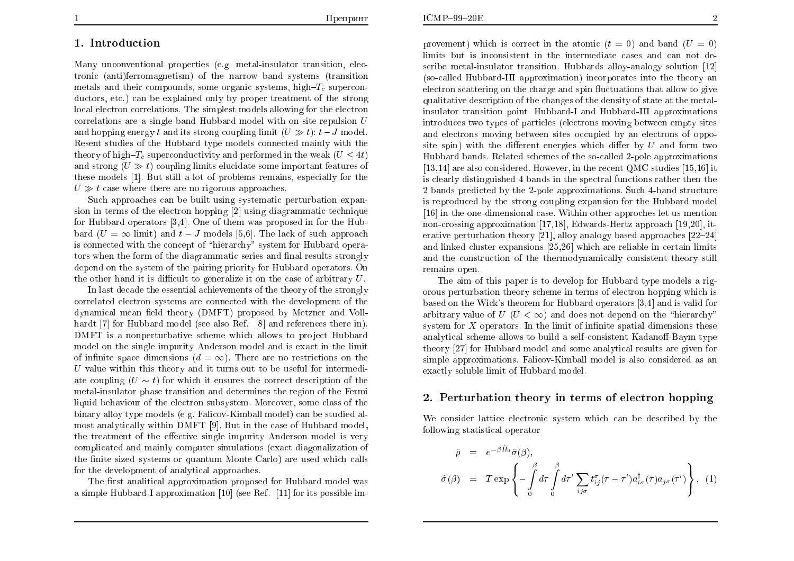# 1. Introduction

Many unconventional properties (e.g. metal-insulator transition, electronic (anti)ferromagnetism) of the narrow band systems (transition metals and their compounds, some organic systems, high- $T_c$  superconductors, etc.) can be explained only by proper treatment of the strong local electron correlations. The simplest models allowing for the electron correlations are a single-band Hubbard model with on-site repulsion  $U$ and hopping energy t and its strong coupling limit  $(U \gg t)$ :  $t-J$  model. Resent studies of the Hubbard type models connected mainly with the theory of high- $T_c$  superconductivity and performed in the weak  $(U \leq 4t)$ and strong  $(U \gg t)$  coupling limits elucidate some important features of these models [1]. But still a lot of problems remains, especially for the  $U \gg t$  case where there are no rigorous approaches.

Such approaches can be built using systematic perturbation expansion in terms of the electron hopping [2] using diagrammatic technique for Hubbard operators [3,4]. One of them was proposed in for the Hubbard  $(U = \infty$  limit) and  $t - J$  models [5,6]. The lack of such approach is connected with the concept of "hierarchy" system for Hubbard operators when the form of the diagrammatic series and final results strongly depend on the system of the pairing priority for Hubbard operators. On the other hand it is difficult to generalize it on the case of arbitrary  $U$ .

In last decade the essential achievements of the theory of the strongly correlated electron systems are connected with the development of the dynamical mean field theory (DMFT) proposed by Metzner and Vollhardt [7] for Hubbard model (see also Ref. [8] and references there in). DMFT is a nonperturbative scheme which allows to project Hubbard model on the single impurity Anderson model and is exact in the limit of infinite space dimensions  $(d = \infty)$ . There are no restrictions on the  $U$  value within this theory and it turns out to be useful for intermediate coupling  $(U \sim t)$  for which it ensures the correct description of the metal-insulator phase transition and determines the region of the Fermi liquid behaviour of the electron subsystem. Moreover, some class of the binary alloy type models (e.g. Falicov-Kimball model) can be studied almost analytically within DMFT [9]. But in the case of Hubbard model, the treatment of the effective single impurity Anderson model is very complicated and mainly computer simulations (exact diagonalization of the finite sized systems or quantum Monte Carlo) are used which calls for the development of analytical approaches.

The first analitical approximation proposed for Hubbard model was a simple Hubbard-I approximation [10] (see Ref. [11] for its possible im-

provement) which is correct in the atomic  $(t = 0)$  and band  $(U = 0)$ limits but is inconsistent in the intermediate cases and can not describe metal-insulator transition. Hubbards alloy-analogy solution [12] (so-called Hubbard-III approximation) incorporates into the theory an electron scattering on the charge and spin fluctuations that allow to give qualitative description of the changes of the density of state at the metalinsulator transition point. Hubbard-I and Hubbard-III approximations introduces two types of particles (electrons moving between empty sites and electrons moving between sites occupied by an electrons of opposite spin) with the different energies which differ by  $U$  and form two Hubbard bands. Related schemes of the so-called 2-pole approximations [13,14] are also considered. However, in the recent QMC studies [15,16] it is clearly distinguished 4 bands in the spectral functions rather then the 2 bands predicted by the 2-pole approximations. Such 4-band structure is reproduced by the strong coupling expansion for the Hubbard model [16] in the one-dimensional case. Within other approches let us mention non-crossing approximation [17,18], Edwards-Hertz approach [19,20], iterative perturbation theory [21], alloy analogy based approaches  $[22-24]$ and linked cluster expansions [25,26] which are reliable in certain limits and the construction of the thermodynamically consistent theory still remains open.

The aim of this paper is to develop for Hubbard type models a rigorous perturbation theory scheme in terms of electron hopping which is based on the Wick's theorem for Hubbard operators [3,4] and is valid for arbitrary value of  $U$  ( $U < \infty$ ) and does not depend on the "hierarchy" system for  $X$  operators. In the limit of infinite spatial dimensions these analytical scheme allows to build a self-consistent Kadanoff-Baym type theory [27] for Hubbard model and some analytical results are given for simple approximations. Falicov-Kimball model is also considered as an exactly soluble limit of Hubbard model.

## 2. Perturbation theory in terms of electron hopping

We consider lattice electronic system which can be described by the following statistical operator

$$
\hat{\rho} = e^{-\beta \hat{H}_0} \hat{\sigma}(\beta), \n\hat{\sigma}(\beta) = T \exp \left\{ - \int_0^{\beta} d\tau \int_0^{\beta} d\tau' \sum_{ij\sigma} t_{ij}^{\sigma} (\tau - \tau') a_{i\sigma}^{\dagger}(\tau) a_{j\sigma}(\tau') \right\}, (1)
$$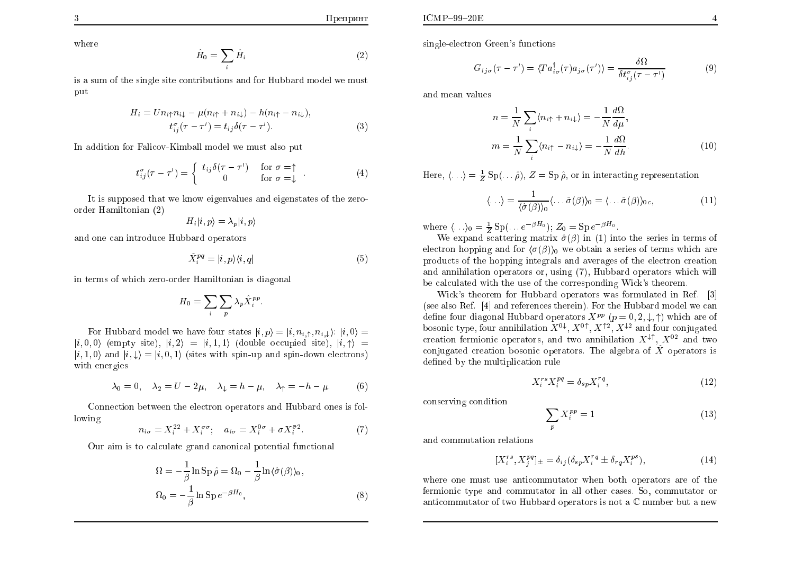where

$$
\hat{H}_0 = \sum_i \hat{H}_i \tag{2}
$$

is a sum of the single site contributions and for Hubbard model we must put

$$
H_i = U n_{i\uparrow} n_{i\downarrow} - \mu (n_{i\uparrow} + n_{i\downarrow}) - h (n_{i\uparrow} - n_{i\downarrow}),
$$
  
\n
$$
t_{ij}^{\sigma}(\tau - \tau') = t_{ij} \delta(\tau - \tau').
$$
\n(3)

In addition for Falicov-Kimball model we must also put

$$
t_{ij}^{\sigma}(\tau - \tau') = \begin{cases} t_{ij}\delta(\tau - \tau') & \text{for } \sigma = \uparrow \\ 0 & \text{for } \sigma = \downarrow \end{cases} . \tag{4}
$$

It is supposed that we know eigenvalues and eigenstates of the zeroorder Hamiltonian (2)

$$
H_i|i, p\rangle = \lambda_p|i, p\rangle
$$

and one can introduce Hubbard operators

$$
\hat{X}_i^{pq} = |i, p\rangle\langle i, q| \tag{5}
$$

in terms of which zero-order Hamiltonian is diagonal

$$
H_0 = \sum_i \sum_p \lambda_p \hat{X}_i^{pp}.
$$

For Hubbard model we have four states  $|i, p\rangle = |i, n_{i, \uparrow}, n_{i, \downarrow}\rangle$ :  $|i, 0\rangle =$  $|i,0,0\rangle$  (empty site),  $|i,2\rangle = |i,1,1\rangle$  (double occupied site),  $|i, \uparrow\rangle =$  $|i,1,0\rangle$  and  $|i,\downarrow\rangle = |i,0,1\rangle$  (sites with spin-up and spin-down electrons) with energies

$$
\lambda_0 = 0, \quad \lambda_2 = U - 2\mu, \quad \lambda_\downarrow = h - \mu, \quad \lambda_\uparrow = -h - \mu. \tag{6}
$$

Connection between the electron operators and Hubbard ones is following

$$
n_{i\sigma} = X_i^{22} + X_i^{\sigma\sigma}; \quad a_{i\sigma} = X_i^{0\sigma} + \sigma X_i^{\bar{\sigma}2}.
$$
 (7)

Our aim is to calculate grand canonical potential functional

$$
\Omega = -\frac{1}{\beta} \ln \operatorname{Sp} \hat{\rho} = \Omega_0 - \frac{1}{\beta} \ln \langle \hat{\sigma}(\beta) \rangle_0, \n\Omega_0 = -\frac{1}{\beta} \ln \operatorname{Sp} e^{-\beta H_0},
$$
\n(8)

single-electron Green's functions

$$
G_{ij\sigma}(\tau - \tau') = \langle Ta_{i\sigma}^{\dagger}(\tau)a_{j\sigma}(\tau')\rangle = \frac{\delta\Omega}{\delta t_{ij}^{\sigma}(\tau - \tau')}
$$
 (9)

and mean values

$$
n = \frac{1}{N} \sum_{i} \langle n_{i\uparrow} + n_{i\downarrow} \rangle = -\frac{1}{N} \frac{d\Omega}{d\mu},
$$
  

$$
m = \frac{1}{N} \sum_{i} \langle n_{i\uparrow} - n_{i\downarrow} \rangle = -\frac{1}{N} \frac{d\Omega}{dh}.
$$
 (10)

Here,  $\langle \ldots \rangle = \frac{1}{Z} \text{Sp}(\ldots \hat{\rho}), Z = \text{Sp} \hat{\rho}$ , or in interacting representation

$$
\langle \ldots \rangle = \frac{1}{\langle \hat{\sigma}(\beta) \rangle_0} \langle \ldots \hat{\sigma}(\beta) \rangle_0 = \langle \ldots \hat{\sigma}(\beta) \rangle_{0c}, \qquad (11)
$$

where  $\langle \ldots \rangle_0 = \frac{1}{Z} \text{Sp}(\ldots e^{-\beta H_0}); Z_0 = \text{Sp} \, e^{-\beta H_0}.$ 

We expand scattering matrix  $\hat{\sigma}(\beta)$  in (1) into the series in terms of electron hopping and for  $\langle \sigma(\beta) \rangle_0$  we obtain a series of terms which are products of the hopping integrals and averages of the electron creation and annihilation operators or, using (7), Hubbard operators which will be calculated with the use of the corresponding Wick's theorem.

Wick's theorem for Hubbard operators was formulated in Ref. [3] (see also Ref. [4] and references therein). For the Hubbard model we can define four diagonal Hubbard operators  $X^{pp}$   $(p = 0, 2, \downarrow, \uparrow)$  which are of bosonic type, four annihilation  $X^{0\downarrow}$ ,  $X^{0\uparrow}$ ,  $X^{\uparrow 2}$ ,  $X^{\downarrow 2}$  and four conjugated creation fermionic operators, and two annihilation  $X^{\downarrow\uparrow}$ ,  $X^{02}$  and two conjugated creation bosonic operators. The algebra of  $\hat{X}$  operators is defined by the multiplication rule

$$
X_i^{rs} X_i^{pq} = \delta_{sp} X_i^{rq},\tag{12}
$$

conserving condition

$$
\sum_{n} X_i^{pp} = 1\tag{13}
$$

and commutation relations

$$
[X_i^{rs}, X_j^{pq}]_{\pm} = \delta_{ij} (\delta_{sp} X_i^{rq} \pm \delta_{rq} X_i^{ps}), \qquad (14)
$$

where one must use anticommutator when both operators are of the fermionic type and commutator in all other cases. So, commutator or anticommutator of two Hubbard operators is not a  $\mathbb C$  number but a new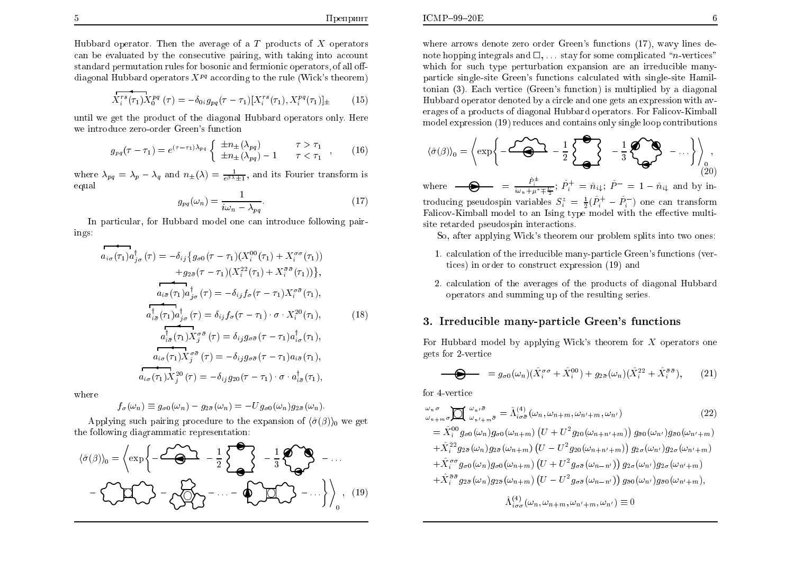Hubbard operator. Then the average of a  $T$  products of  $X$  operators can be evaluated by the consecutive pairing, with taking into account standard permutation rules for bosonic and fermionic operators, of all offdiagonal Hubbard operators  $X^{pq}$  according to the rule (Wick's theorem)

$$
\overline{X_i^{rs}(\tau_1)} X_0^{pq} (\tau) = -\delta_{0i} g_{pq} (\tau - \tau_1) [X_i^{rs}(\tau_1), X_i^{pq}(\tau_1)]_{\pm}
$$
 (15)

until we get the product of the diagonal Hubbard operators only. Here we introduce zero-order Green's function

$$
g_{pq}(\tau - \tau_1) = e^{(\tau - \tau_1)\lambda_{pq}} \begin{cases} \pm n_{\pm}(\lambda_{pq}) & \tau > \tau_1 \\ \pm n_{\pm}(\lambda_{pq}) - 1 & \tau < \tau_1 \end{cases}, \qquad (16)
$$

where  $\lambda_{pq} = \lambda_p - \lambda_q$  and  $n_{\pm}(\lambda) = \frac{1}{e^{\beta \lambda}+1}$ , and its Fourier transform is equal

$$
g_{pq}(\omega_n) = \frac{1}{i\omega_n - \lambda_{pq}}.\tag{17}
$$

In particular, for Hubbard model one can introduce following pairings:

$$
a_{i\sigma}(\tau_1)a_{j\sigma}^{\dagger}(\tau) = -\delta_{ij}\{g_{\sigma 0}(\tau - \tau_1)(X_i^{00}(\tau_1) + X_i^{\sigma\sigma}(\tau_1))
$$

$$
+g_{2\bar{\sigma}}(\tau - \tau_1)(X_i^{22}(\tau_1) + X_i^{\bar{\sigma}\bar{\sigma}}(\tau_1))\},
$$

$$
a_{i\bar{\sigma}}(\tau_1)a_{j\sigma}^{\dagger}(\tau) = -\delta_{ij}f_{\sigma}(\tau - \tau_1)X_i^{\sigma\bar{\sigma}}(\tau_1),
$$

$$
a_{i\bar{\sigma}}^{\dagger}(\tau_1)a_{j\sigma}^{\dagger}(\tau) = \delta_{ij}f_{\sigma}(\tau - \tau_1) \cdot \sigma \cdot X_i^{20}(\tau_1),
$$

$$
a_{i\bar{\sigma}}^{\dagger}(\tau_1)X_j^{\sigma\bar{\sigma}}(\tau) = \delta_{ij}g_{\sigma\bar{\sigma}}(\tau - \tau_1)a_{i\sigma}^{\dagger}(\tau_1),
$$

$$
a_{i\sigma}(\tau_1)X_j^{20}(\tau) = -\delta_{ij}g_{\sigma\bar{\sigma}}(\tau - \tau_1)a_{i\bar{\sigma}}(\tau_1),
$$

$$
a_{i\sigma}(\tau_1)X_j^{20}(\tau) = -\delta_{ij}g_{20}(\tau - \tau_1) \cdot \sigma \cdot a_{i\bar{\sigma}}^{\dagger}(\tau_1),
$$

where

$$
f_{\sigma}(\omega_n) \equiv g_{\sigma 0}(\omega_n) - g_{2\bar{\sigma}}(\omega_n) = -U g_{\sigma 0}(\omega_n) g_{2\bar{\sigma}}(\omega_n).
$$

Applying such pairing procedure to the expansion of  $\langle \hat{\sigma}(\beta) \rangle_0$  we get the following diagrammatic representation:

$$
\langle \hat{\sigma}(\beta) \rangle_0 = \left\langle \exp\left\{-\frac{\sqrt{2}}{2} - \frac{1}{2}\sum_{i=1}^{n} -\frac{1}{2}\sum_{i=1}^{n} \sum_{j=1}^{n} \sum_{j=1}^{n} \sigma_{ij} \right\} - \sum_{i=1}^{n} \sum_{j=1}^{n} \sum_{j=1}^{n} \sigma_{ij} \right\rangle_0 - \sum_{i=1}^{n} \sum_{j=1}^{n} \sum_{j=1}^{n} \sigma_{ij} \left\langle \hat{\sigma}(\beta) \right\rangle_0
$$
 (19)

where arrows denote zero order Green's functions (17), wavy lines denote hopping integrals and  $\square$ , ... stay for some complicated "*n*-vertices" which for such type perturbation expansion are an irreducible manyparticle single-site Green's functions calculated with single-site Hamiltonian (3). Each vertice (Green's function) is multiplied by a diagonal Hubbard operator denoted by a circle and one gets an expression with averages of a products of diagonal Hubbard operators. For Falicov-Kimball model expression (19) reduces and contains only single loop contributions

$$
\langle \hat{\sigma}(\beta) \rangle_0 = \left\langle \exp \left\{ -\frac{\sqrt{2\Delta}}{\mathbf{S}} - \frac{1}{2} \sum_{\mathbf{Q}} \sum_{i=1}^{n} \mathbf{P}_{\mathbf{Q}} \mathbf{Q}_i - \cdots \right\} \right\rangle_0,
$$

where  $\bullet \bullet \bullet = \frac{\hat{P}_{i}^{\pm}}{i\omega_{n} + \mu^{*} \mp \frac{U}{2}}$ ;  $\hat{P}_{i}^{+} = \hat{n}_{i\downarrow}$ ;  $\hat{P}^{-} = 1 - \hat{n}_{i\downarrow}$  and by introducing pseudospin variables  $S_i^z = \frac{1}{2}(\hat{P}_i^+ - \hat{P}_i^-)$  one can transform Falicov-Kimball model to an Ising type model with the effective multisite retarded pseudospin interactions.

So, after applying Wick's theorem our problem splits into two ones:

- 1. calculation of the irreducible many-particle Green's functions (vertices) in order to construct expression (19) and
- 2. calculation of the averages of the products of diagonal Hubbard operators and summing up of the resulting series.

### 3. Irreducible many-particle Green's functions

For Hubbard model by applying Wick's theorem for  $X$  operators one gets for 2-vertice

$$
\bigoplus_{i,j} g_{\sigma 0}(\omega_n) (\hat{X}_i^{\sigma \sigma} + \hat{X}_i^{00}) + g_{2\bar{\sigma}}(\omega_n) (\hat{X}_i^{22} + \hat{X}_i^{\bar{\sigma} \bar{\sigma}}), \qquad (21)
$$

for 4-vertice

$$
\begin{split}\n\omega_{n} \sigma \\
\omega_{n+m} \sigma \mathbf{M} \omega_{n'+m} \bar{\sigma} &= \hat{\Lambda}_{i\sigma\bar{\sigma}}^{(4)}(\omega_{n}, \omega_{n+m}, \omega_{n'+m}, \omega_{n'})\n\end{split}
$$
\n
$$
(22
$$
\n
$$
= \hat{X}_{i}^{00} g_{\sigma 0}(\omega_{n}) g_{\sigma 0}(\omega_{n+m}) \left( U + U^{2} g_{20}(\omega_{n+n'+m}) \right) g_{\bar{\sigma}0}(\omega_{n'}) g_{\bar{\sigma}0}(\omega_{n'+m})\n+ \hat{X}_{i}^{22} g_{2\bar{\sigma}}(\omega_{n}) g_{2\bar{\sigma}}(\omega_{n+m}) \left( U - U^{2} g_{20}(\omega_{n+n'+m}) \right) g_{2\sigma}(\omega_{n'}) g_{2\sigma}(\omega_{n'+m})\n+ \hat{X}_{i}^{\sigma\sigma} g_{\sigma 0}(\omega_{n}) g_{\sigma 0}(\omega_{n+m}) \left( U + U^{2} g_{\sigma\bar{\sigma}}(\omega_{n-m'}) \right) g_{2\sigma}(\omega_{n'}) g_{2\sigma}(\omega_{n'+m})\n+ \hat{X}_{i}^{\bar{\sigma}\bar{\sigma}} g_{2\bar{\sigma}}(\omega_{n}) g_{2\bar{\sigma}}(\omega_{n+m}) \left( U - U^{2} g_{\sigma\bar{\sigma}}(\omega_{n-m'}) \right) g_{\bar{\sigma}0}(\omega_{n'}) g_{\bar{\sigma}0}(\omega_{n'+m}),\n\hat{\Lambda}_{i\sigma\sigma}^{(4)}(\omega_{n}, \omega_{n+m}, \omega_{n'+m}, \omega_{n'}) \equiv 0\n\end{split}
$$
\n(22)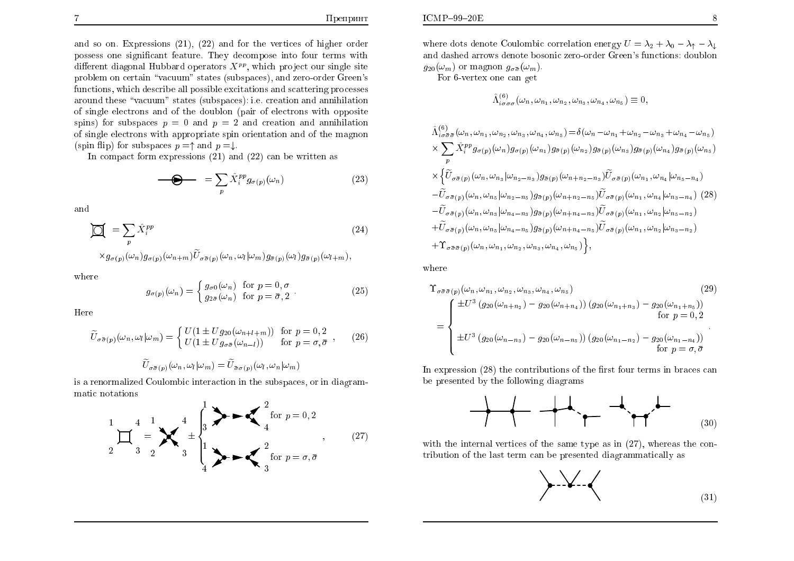$\lambda =$ 

and so on. Expressions  $(21)$ ,  $(22)$  and for the vertices of higher order possess one significant feature. They decompose into four terms with different diagonal Hubbard operators  $X^{pp}$ , which project our single site problem on certain "vacuum" states (subspaces), and zero-order Green's functions, which describe all possible excitations and scattering processes around these "vacuum" states (subspaces): i.e. creation and annihilation of single electrons and of the doublon (pair of electrons with opposite spins) for subspaces  $p = 0$  and  $p = 2$  and creation and annihilation of single electrons with appropriate spin orientation and of the magnon (spin flip) for subspaces  $p = \uparrow$  and  $p = \downarrow$ .

In compact form expressions  $(21)$  and  $(22)$  can be written as

$$
\bigoplus_{p} \qquad = \sum_{p} \hat{X}_{i}^{pp} g_{\sigma(p)}(\omega_{n}) \tag{23}
$$

and

$$
\mathbf{Q} = \sum_{p} \hat{X}_i^{pp} \tag{24}
$$

 $\times g_{\sigma(n)}(\omega_n)g_{\sigma(n)}(\omega_{n+m})\widetilde{U}_{\sigma(\sigma(n)}(\omega_n,\omega_l|\omega_m)g_{\sigma(n)}(\omega_l)g_{\sigma(n)}(\omega_{l+m}),$ 

where

$$
g_{\sigma(p)}(\omega_n) = \begin{cases} g_{\sigma 0}(\omega_n) & \text{for } p = 0, \sigma \\ g_{2\bar{\sigma}}(\omega_n) & \text{for } p = \bar{\sigma}, 2 \end{cases}
$$
 (25)

Here

$$
\widetilde{U}_{\sigma\bar{\sigma}(p)}(\omega_n, \omega_l|\omega_m) = \begin{cases} U(1 \pm Ug_{20}(\omega_{n+l+m})) & \text{for } p = 0, 2\\ U(1 \pm Ug_{\sigma\bar{\sigma}}(\omega_{n-l})) & \text{for } p = \sigma, \bar{\sigma} \end{cases}, \qquad (26)
$$

$$
\widetilde{U}_{\sigma\bar{\sigma}(p)}(\omega_n,\omega_l|\omega_m)=\widetilde{U}_{\bar{\sigma}\sigma(p)}(\omega_l,\omega_n|\omega_m)
$$

is a renormalized Coulombic interaction in the subspaces, or in diagrammatic notations



where dots denote Coulombic correlation energy  $U = \lambda_2 + \lambda_0 - \lambda_1 - \lambda_1$ and dashed arrows denote bosonic zero-order Green's functions: doublon  $q_{20}(\omega_m)$  or magnon  $q_{\sigma\bar{\sigma}}(\omega_m)$ .

For 6-vertex one can get

$$
\hat{\Lambda}^{(6)}_{i\sigma\sigma\sigma}(\omega_n,\omega_{n_1},\omega_{n_2},\omega_{n_3},\omega_{n_4},\omega_{n_5})\equiv 0,
$$

$$
\hat{\Lambda}_{i\sigma\bar{\sigma}\bar{\sigma}}^{(6)}(\omega_n, \omega_{n_1}, \omega_{n_2}, \omega_{n_3}, \omega_{n_4}, \omega_{n_5}) = \delta(\omega_n - \omega_{n_1} + \omega_{n_2} - \omega_{n_3} + \omega_{n_4} - \omega_{n_5})
$$
\n
$$
\times \sum_p \hat{X}_i^{pp} g_{\sigma(p)}(\omega_n) g_{\sigma(p)}(\omega_{n_1}) g_{\bar{\sigma}(p)}(\omega_{n_2}) g_{\bar{\sigma}(p)}(\omega_{n_3}) g_{\bar{\sigma}(p)}(\omega_{n_4}) g_{\bar{\sigma}(p)}(\omega_{n_5})
$$
\n
$$
\times \left\{ \tilde{U}_{\sigma\bar{\sigma}(p)}(\omega_n, \omega_{n_3} | \omega_{n_2 - n_3}) g_{\bar{\sigma}(p)}(\omega_{n_1 + n_2 - n_3}) \tilde{U}_{\sigma\bar{\sigma}(p)}(\omega_{n_1}, \omega_{n_4} | \omega_{n_5 - n_4}) - \tilde{U}_{\sigma\bar{\sigma}(p)}(\omega_n, \omega_{n_5} | \omega_{n_2 - n_5}) g_{\bar{\sigma}(p)}(\omega_{n_1 + n_2 - n_5}) \tilde{U}_{\sigma\bar{\sigma}(p)}(\omega_{n_1}, \omega_{n_4} | \omega_{n_3 - n_4}) (28)
$$
\n
$$
- \tilde{U}_{\sigma\bar{\sigma}(p)}(\omega_n, \omega_{n_3} | \omega_{n_4 - n_3}) g_{\bar{\sigma}(p)}(\omega_{n_1 + n_4 - n_5}) \tilde{U}_{\sigma\bar{\sigma}(p)}(\omega_{n_1}, \omega_{n_2} | \omega_{n_5 - n_2})
$$
\n
$$
+ \tilde{U}_{\sigma\bar{\sigma}(p)}(\omega_n, \omega_{n_5} | \omega_{n_4 - n_5}) g_{\bar{\sigma}(p)}(\omega_{n_1 + n_4 - n_5}) \tilde{U}_{\sigma\bar{\sigma}(p)}(\omega_{n_1}, \omega_{n_2} | \omega_{n_3 - n_2})
$$
\n
$$
+ \Upsilon_{\sigma\bar{\sigma}(\bar{p})}(\omega_n, \omega_{n_1}, \omega_{n_2}, \omega_{n_3}, \omega_{n_4}, \omega_{n_5}) \right\},
$$

where

$$
\begin{split} \Upsilon_{\sigma\bar{\sigma}\bar{\sigma}(p)}(\omega_{n}, \omega_{n_{1}}, \omega_{n_{2}}, \omega_{n_{3}}, \omega_{n_{4}}, \omega_{n_{5}}) \\ &= \begin{cases} \pm U^{3} \left( g_{20}(\omega_{n+n_{2}}) - g_{20}(\omega_{n+n_{4}}) \right) \left( g_{20}(\omega_{n_{1}+n_{3}}) - g_{20}(\omega_{n_{1}+n_{5}}) \right) \\ \pm U^{3} \left( g_{20}(\omega_{n-n_{3}}) - g_{20}(\omega_{n-n_{5}}) \right) \left( g_{20}(\omega_{n_{1}-n_{2}}) - g_{20}(\omega_{n_{1}-n_{4}}) \right) \\ \pm U^{3} \left( g_{20}(\omega_{n-n_{3}}) - g_{20}(\omega_{n-n_{5}}) \right) \left( g_{20}(\omega_{n_{1}-n_{2}}) - g_{20}(\omega_{n_{1}-n_{4}}) \right) \\ \text{for } p = \sigma, \bar{\sigma} \end{cases} . \end{split} \tag{29}
$$

In expression (28) the contributions of the first four terms in braces can be presented by the following diagrams



with the internal vertices of the same type as in  $(27)$ , whereas the contribution of the last term can be presented diagrammatically as

$$
\left\downarrow \left\downarrow \left\downarrow \left\downarrow \right\right\downarrow \left\downarrow \left\downarrow \left\downarrow \left\downarrow \left\downarrow \right\downarrow \left\downarrow \left\downarrow \left\downarrow \right\downarrow \left\downarrow \left\downarrow \right\downarrow \left\downarrow \left\downarrow \left\downarrow \right\downarrow \left\downarrow \left\downarrow \right\downarrow \left\downarrow \left\downarrow \right\downarrow \left\downarrow \left\downarrow \right\downarrow \left\downarrow \left\downarrow \left\downarrow \right\downarrow \left\downarrow \left\downarrow \right\downarrow \left\downarrow \left\downarrow \right\downarrow \left\downarrow \left\downarrow \right\downarrow \left\downarrow \left\downarrow \right\downarrow \left\downarrow \left\downarrow \left\downarrow \right\downarrow \left\downarrow \left\downarrow \right\downarrow \left\downarrow \left\downarrow \right\downarrow \left\downarrow \left\downarrow \right\downarrow \left\downarrow \right\downarrow \left\downarrow \left\downarrow \right\downarrow \left\downarrow \left\downarrow \right\downarrow \left\downarrow \left\downarrow \right\downarrow \left\downarrow \right\downarrow \left\downarrow \left\downarrow \right\downarrow \left\downarrow \left\downarrow \right\downarrow \left\downarrow \right\downarrow \left\downarrow \right\downarrow \left\downarrow \right\downarrow \left\downarrow \left\downarrow \right\downarrow \left\downarrow \right\downarrow \left\downarrow \left\downarrow \right\downarrow \left\downarrow \left\downarrow \right\downarrow \left\downarrow \left\downarrow \right\downarrow \left\downarrow \right\downarrow \left\downarrow \right\downarrow \left\downarrow \left\downarrow \right\downarrow \left\downarrow \right\downarrow \left\downarrow \right\downarrow \left\downarrow \right\downarrow \left\downarrow \right\downarrow \left\downarrow \left\downarrow \right\downarrow \left\downarrow \right\downarrow \left\downarrow \right\downarrow \left\downarrow \right\downarrow \left\downarrow \right\downarrow \left\downarrow \right\downarrow \left\downarrow \right\downarrow \left\downarrow \right\downarrow \left\downarrow \right\downarrow \left\downarrow \right\downarrow \left\downarrow \right\downarrow \left\downarrow \right\downarrow \left\downarrow \right\downarrow \left\downarrow \right\downarrow \left\downarrow \right\downarrow \left\downarrow \right\downarrow \left\downarrow \right\downarrow \left\downarrow \right\downarrow \left\
$$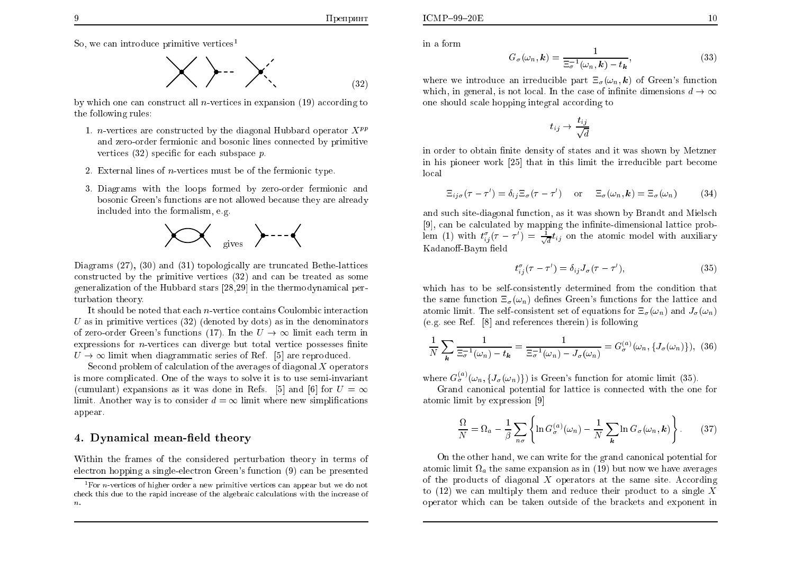So, we can introduce primitive vertices<sup>1</sup>

$$
\bigtimes \rightarrow \searrow
$$
 (32)

by which one can construct all *n*-vertices in expansion  $(19)$  according to the following rules:

- 1. *n*-vertices are constructed by the diagonal Hubbard operator  $X^{pp}$ and zero-order fermionic and bosonic lines connected by primitive vertices  $(32)$  specific for each subspace p.
- 2. External lines of *n*-vertices must be of the fermionic type.
- 3. Diagrams with the loops formed by zero-order fermionic and bosonic Green's functions are not allowed because they are already included into the formalism, e.g.



Diagrams  $(27)$ ,  $(30)$  and  $(31)$  topologically are truncated Bethe-lattices constructed by the primitive vertices (32) and can be treated as some generalization of the Hubbard stars [28,29] in the thermodynamical perturbation theory.

It should be noted that each  $n$ -vertice contains Coulombic interaction U as in primitive vertices  $(32)$  (denoted by dots) as in the denominators of zero-order Green's functions (17). In the  $U \rightarrow \infty$  limit each term in expressions for  $n$ -vertices can diverge but total vertice possesses finite  $U \rightarrow \infty$  limit when diagrammatic series of Ref. [5] are reproduced.

Second problem of calculation of the averages of diagonal  $X$  operators is more complicated. One of the ways to solve it is to use semi-invariant (cumulant) expansions as it was done in Refs. [5] and [6] for  $U = \infty$ limit. Another way is to consider  $d = \infty$  limit where new simplifications appear.

### 4. Dynamical mean-field theory

Within the frames of the considered perturbation theory in terms of electron hopping a single-electron Green's function (9) can be presented

in a form

$$
G_{\sigma}(\omega_n, \mathbf{k}) = \frac{1}{\Xi_{\sigma}^{-1}(\omega_n, \mathbf{k}) - t_{\mathbf{k}}},\tag{33}
$$

where we introduce an irreducible part  $\Xi_{\sigma}(\omega_n, \mathbf{k})$  of Green's function which, in general, is not local. In the case of infinite dimensions  $d \to \infty$ one should scale hopping integral according to

$$
t_{ij} \rightarrow \frac{t_{ij}}{\sqrt{d}}
$$

in order to obtain finite density of states and it was shown by Metzner in his pioneer work [25] that in this limit the irreducible part become local

$$
\Xi_{ij\sigma}(\tau - \tau') = \delta_{ij}\Xi_{\sigma}(\tau - \tau') \quad \text{or} \quad \Xi_{\sigma}(\omega_n, \mathbf{k}) = \Xi_{\sigma}(\omega_n)
$$
 (34)

and such site-diagonal function, as it was shown by Brandt and Mielsch [9], can be calculated by mapping the infinite-dimensional lattice problem (1) with  $t_{ij}^{\sigma}(\tau - \tau') = \frac{1}{\sqrt{d}}t_{ij}$  on the atomic model with auxiliary Kadanoff-Baym field

$$
t_{ij}^{\sigma}(\tau - \tau') = \delta_{ij} J_{\sigma}(\tau - \tau'), \qquad (35)
$$

which has to be self-consistently determined from the condition that the same function  $\Xi_{\sigma}(\omega_n)$  defines Green's functions for the lattice and atomic limit. The self-consistent set of equations for  $\Xi_{\sigma}(\omega_n)$  and  $J_{\sigma}(\omega_n)$  $(e.g. see Ref. [8] and references therein) is following$ 

$$
\frac{1}{N}\sum_{\mathbf{k}}\frac{1}{\Xi_{\sigma}^{-1}(\omega_n)-t_{\mathbf{k}}}=\frac{1}{\Xi_{\sigma}^{-1}(\omega_n)-J_{\sigma}(\omega_n)}=G_{\sigma}^{(a)}(\omega_n,\{J_{\sigma}(\omega_n)\}),\tag{36}
$$

where  $G_{\sigma}^{(a)}(\omega_n, \{J_{\sigma}(\omega_n)\})$  is Green's function for atomic limit (35).

Grand canonical potential for lattice is connected with the one for atomic limit by expression [9]

$$
\frac{\Omega}{N} = \Omega_a - \frac{1}{\beta} \sum_{n\sigma} \left\{ \ln G_{\sigma}^{(a)}(\omega_n) - \frac{1}{N} \sum_{\mathbf{k}} \ln G_{\sigma}(\omega_n, \mathbf{k}) \right\}.
$$
 (37)

On the other hand, we can write for the grand canonical potential for atomic limit  $\Omega_a$  the same expansion as in (19) but now we have averages of the products of diagonal  $X$  operators at the same site. According to (12) we can multiply them and reduce their product to a single X operator which can be taken outside of the brackets and exponent in

<sup>&</sup>lt;sup>1</sup> For *n*-vertices of higher order a new primitive vertices can appear but we do not check this due to the rapid increase of the algebraic calculations with the increase of  $\boldsymbol{n}$ .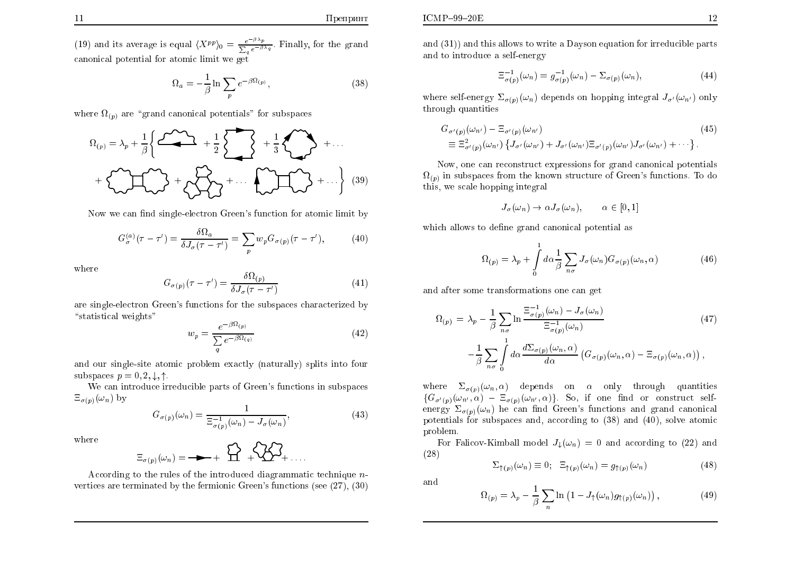(19) and its average is equal  $\langle X^{pp} \rangle_0 = \frac{e^{-\beta \lambda_p}}{\sum_a e^{-\beta \lambda_q}}$ . Finally, for the grand canonical potential for atomic limit we get

$$
\Omega_a = -\frac{1}{\beta} \ln \sum_p e^{-\beta \Omega_{(p)}},\tag{38}
$$

where  $\Omega_{(p)}$  are "grand canonical potentials" for subspaces

$$
\Omega_{(p)} = \lambda_p + \frac{1}{\beta} \left\{ \underbrace{\mathcal{L}^2 \mathcal{L}^2}_{\mathcal{L}^2} + \frac{1}{2} \sum \right\} + \frac{1}{3} \underbrace{\mathcal{L}^2 \mathcal{L}^2}_{\mathcal{L}^2} + \cdots
$$
\n
$$
+ \underbrace{\mathcal{L}^2 \mathcal{L}^2}_{\mathcal{L}^2} + \underbrace{\mathcal{L}^2 \mathcal{L}^2}_{\mathcal{L}^2} + \cdots \underbrace{\mathcal{L}^2 \mathcal{L}^2}_{\mathcal{L}^2} + \cdots \right\} (39)
$$

Now we can find single-electron Green's function for atomic limit by

$$
G_{\sigma}^{(a)}(\tau - \tau') = \frac{\delta \Omega_a}{\delta J_{\sigma}(\tau - \tau')} = \sum_{p} w_p G_{\sigma(p)}(\tau - \tau'), \tag{40}
$$

where

$$
G_{\sigma(p)}(\tau - \tau') = \frac{\delta\Omega(p)}{\delta J_{\sigma}(\tau - \tau')}
$$
\n(41)

are single-electron Green's functions for the subspaces characterized by "statistical weights"

$$
w_p = \frac{e^{-\beta \Omega_{(p)}}}{\sum_{q} e^{-\beta \Omega_{(q)}}}
$$
\n(42)

and our single-site atomic problem exactly (naturally) splits into four subspaces  $p = 0, 2, \downarrow, \uparrow$ .

We can introduce irreducible parts of Green's functions in subspaces  $\Xi_{\sigma(p)}(\omega_n)$  by

$$
G_{\sigma(p)}(\omega_n) = \frac{1}{\Xi_{\sigma(p)}^{-1}(\omega_n) - J_{\sigma}(\omega_n)},\tag{43}
$$

where

$$
\Xi_{\sigma(p)}(\omega_n) = \longrightarrow + \bigoplus_{n=1}^{\infty} \bigoplus_{n=1}^{\infty} \bigoplus_{n=1}^{\infty} \mathfrak{Z}_{n+1}.
$$

According to the rules of the introduced diagrammatic technique  $n$ vertices are terminated by the fermionic Green's functions (see  $(27)$ ,  $(30)$ )

and  $(31)$  and this allows to write a Dayson equation for irreducible parts and to introduce a self-energy

$$
\Xi_{\sigma(p)}^{-1}(\omega_n) = g_{\sigma(p)}^{-1}(\omega_n) - \Sigma_{\sigma(p)}(\omega_n), \qquad (44)
$$

where self-energy  $\Sigma_{\sigma(n)}(\omega_n)$  depends on hopping integral  $J_{\sigma'}(\omega_{n'})$  only through quantities

$$
G_{\sigma'(p)}(\omega_{n'}) - \Xi_{\sigma'(p)}(\omega_{n'})
$$
\n
$$
\equiv \Xi_{\sigma'(p)}^2(\omega_{n'}) \left\{ J_{\sigma'}(\omega_{n'}) + J_{\sigma'}(\omega_{n'}) \Xi_{\sigma'(p)}(\omega_{n'}) J_{\sigma'}(\omega_{n'}) + \cdots \right\}.
$$
\n
$$
(45)
$$

Now, one can reconstruct expressions for grand canonical potentials  $\Omega_{(p)}$  in subspaces from the known structure of Green's functions. To do this, we scale hopping integral

$$
J_{\sigma}(\omega_n) \to \alpha J_{\sigma}(\omega_n), \qquad \alpha \in [0,1]
$$

which allows to define grand canonical potential as

$$
\Omega_{(p)} = \lambda_p + \int_0^1 d\alpha \frac{1}{\beta} \sum_{n\sigma} J_\sigma(\omega_n) G_{\sigma(p)}(\omega_n, \alpha) \tag{46}
$$

and after some transformations one can get

$$
\Omega_{(p)} = \lambda_p - \frac{1}{\beta} \sum_{n\sigma} \ln \frac{\Xi_{\sigma(p)}^{-1}(\omega_n) - J_{\sigma}(\omega_n)}{\Xi_{\sigma(p)}^{-1}(\omega_n)} - \frac{1}{\beta} \sum_{n\sigma} \int_{0}^{1} d\alpha \frac{d\Sigma_{\sigma(p)}(\omega_n, \alpha)}{d\alpha} \left( G_{\sigma(p)}(\omega_n, \alpha) - \Xi_{\sigma(p)}(\omega_n, \alpha) \right),
$$
\n(47)

where  $\Sigma_{\sigma(n)}(\omega_n, \alpha)$  depends on  $\alpha$  only through quantities  $\{G_{\sigma'(p)}(\omega_{n'}, \alpha) - \Xi_{\sigma(p)}(\omega_{n'}, \alpha)\}\$ . So, if one find or construct selfenergy  $\Sigma_{\sigma(n)}(\omega_n)$  he can find Green's functions and grand canonical potentials for subspaces and, according to (38) and (40), solve atomic problem.

For Falicov-Kimball model  $J_{\perp}(\omega_n) = 0$  and according to (22) and  $(28)$ 

$$
\Sigma_{\uparrow(p)}(\omega_n) \equiv 0; \quad \Xi_{\uparrow(p)}(\omega_n) = g_{\uparrow(p)}(\omega_n) \tag{48}
$$

and

$$
\Omega_{(p)} = \lambda_p - \frac{1}{\beta} \sum_n \ln \left( 1 - J_\uparrow(\omega_n) g_{\uparrow(p)}(\omega_n) \right),\tag{49}
$$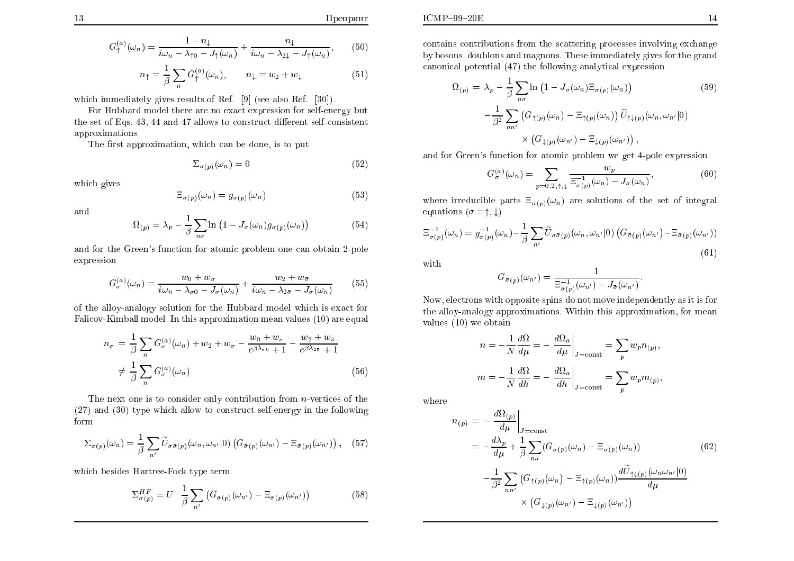$$
G_{\uparrow}^{(a)}(\omega_n) = \frac{1 - n_{\downarrow}}{i\omega_n - \lambda_{\uparrow 0} - J_{\uparrow}(\omega_n)} + \frac{n_{\downarrow}}{i\omega_n - \lambda_{\uparrow \downarrow} - J_{\uparrow}(\omega_n)},\tag{50}
$$

$$
n_{\uparrow} = \frac{1}{\beta} \sum_{n} G_{\uparrow}^{(a)}(\omega_{n}), \qquad n_{\downarrow} = w_{2} + w_{\downarrow}
$$
 (51)

which immediately gives results of Ref. [9] (see also Ref. [30]).

For Hubbard model there are no exact expression for self-energy but the set of Eqs. 43, 44 and 47 allows to construct different self-consistent approximations.

The first approximation, which can be done, is to put

$$
\Sigma_{\sigma(p)}(\omega_n) = 0 \tag{52}
$$

which gives

$$
\Xi_{\sigma(p)}(\omega_n) = g_{\sigma(p)}(\omega_n) \tag{53}
$$

and

$$
\Omega_{(p)} = \lambda_p - \frac{1}{\beta} \sum_{n\sigma} \ln \left( 1 - J_\sigma(\omega_n) g_{\sigma(p)}(\omega_n) \right) \tag{54}
$$

and for the Green's function for atomic problem one can obtain 2-pole expression

$$
G_{\sigma}^{(a)}(\omega_n) = \frac{w_0 + w_{\sigma}}{i\omega_n - \lambda_{\sigma 0} - J_{\sigma}(\omega_n)} + \frac{w_2 + w_{\bar{\sigma}}}{i\omega_n - \lambda_{2\bar{\sigma}} - J_{\sigma}(\omega_n)}
$$
(55)

of the alloy-analogy solution for the Hubbard model which is exact for Falicov-Kimball model. In this approximation mean values (10) are equal

$$
n_{\sigma} = \frac{1}{\beta} \sum_{n} G_{\sigma}^{(a)}(\omega_{n}) + w_{2} + w_{\sigma} - \frac{w_{0} + w_{\sigma}}{e^{\beta \lambda_{\sigma 0}} + 1} - \frac{w_{2} + w_{\bar{\sigma}}}{e^{\beta \lambda_{2\bar{\sigma}}} + 1}
$$
  

$$
\neq \frac{1}{\beta} \sum_{n} G_{\sigma}^{(a)}(\omega_{n})
$$
(56)

The next one is to consider only contribution from  $n$ -vertices of the  $(27)$  and  $(30)$  type which allow to construct self-energy in the following form

$$
\Sigma_{\sigma(p)}(\omega_n) = \frac{1}{\beta} \sum_{n'} \widetilde{U}_{\sigma(\bar{\sigma}(p))}(\omega_n, \omega_{n'}|0) \left( G_{\bar{\sigma}(p)}(\omega_{n'}) - \Xi_{\bar{\sigma}(p)}(\omega_{n'}) \right), \quad (57)
$$

which besides Hartree-Fock type term

$$
\Sigma_{\sigma(p)}^{HF} = U \cdot \frac{1}{\beta} \sum_{n'} \left( G_{\bar{\sigma}(p)}(\omega_{n'}) - \Xi_{\bar{\sigma}(p)}(\omega_{n'}) \right) \tag{58}
$$

contains contributions from the scattering processes involving exchange by bosons: doublons and magnons. These immediately gives for the grand canonical potential (47) the following analytical expression

$$
\Omega_{(p)} = \lambda_p - \frac{1}{\beta} \sum_{n\sigma} \ln \left( 1 - J_\sigma(\omega_n) \Xi_{\sigma(p)}(\omega_n) \right) \qquad (59)
$$

$$
- \frac{1}{\beta^2} \sum_{nn'} \left( G_{\uparrow(p)}(\omega_n) - \Xi_{\uparrow(p)}(\omega_n) \right) \widetilde{U}_{\uparrow\downarrow(p)}(\omega_n, \omega_{n'}|0) \times \left( G_{\downarrow(p)}(\omega_{n'}) - \Xi_{\downarrow(p)}(\omega_{n'}) \right),
$$

and for Green's function for atomic problem we get 4-pole expression:

$$
G_{\sigma}^{(a)}(\omega_n) = \sum_{p=0,2,\uparrow,\downarrow} \frac{w_p}{\Xi_{\sigma(p)}^{-1}(\omega_n) - J_{\sigma}(\omega_n)},\tag{60}
$$

where irreducible parts  $\Xi_{\sigma(p)}(\omega_n)$  are solutions of the set of integral equations  $(\sigma = \uparrow, \downarrow)$ 

$$
\Xi_{\sigma(p)}^{-1}(\omega_n) = g_{\sigma(p)}^{-1}(\omega_n) - \frac{1}{\beta} \sum_{n'} \widetilde{U}_{\sigma(\bar{\sigma}(p))}(\omega_n, \omega_{n'}|0) \left( G_{\bar{\sigma}(p)}(\omega_{n'}) - \Xi_{\bar{\sigma}(p)}(\omega_{n'}) \right)
$$
\n(61)

with

$$
G_{\bar{\sigma}(p)}(\omega_{n'}) = \frac{1}{\Xi_{\bar{\sigma}(p)}^{-1}(\omega_{n'}) - J_{\bar{\sigma}}(\omega_{n'})}.
$$

Now, electrons with opposite spins do not move independently as it is for the alloy-analogy approximations. Within this approximation, for mean values  $(10)$  we obtain

$$
n = -\frac{1}{N} \frac{d\Omega}{d\mu} = -\left. \frac{d\Omega_a}{d\mu} \right|_{J = \text{const}} = \sum_p w_p n_{(p)},
$$

$$
m = -\frac{1}{N} \frac{d\Omega}{dh} = -\left. \frac{d\Omega_a}{dh} \right|_{J = \text{const}} = \sum_p w_p m_{(p)},
$$

where

$$
n_{(p)} = -\frac{d\Omega_{(p)}}{d\mu}\Big|_{J=\text{const}}
$$
  
=  $-\frac{d\lambda_p}{d\mu} + \frac{1}{\beta} \sum_{n\sigma} (G_{\sigma(p)}(\omega_n) - \Xi_{\sigma(p)}(\omega_n))$  (62)  
 $-\frac{1}{\beta^2} \sum_{nn'} (G_{\uparrow(p)}(\omega_n) - \Xi_{\uparrow(p)}(\omega_n)) \frac{d\tilde{U}_{\uparrow\downarrow(p)}(\omega_n\omega_{n'}|0)}{d\mu}$   
 $\times (G_{\downarrow(p)}(\omega_{n'}) - \Xi_{\downarrow(p)}(\omega_{n'}))$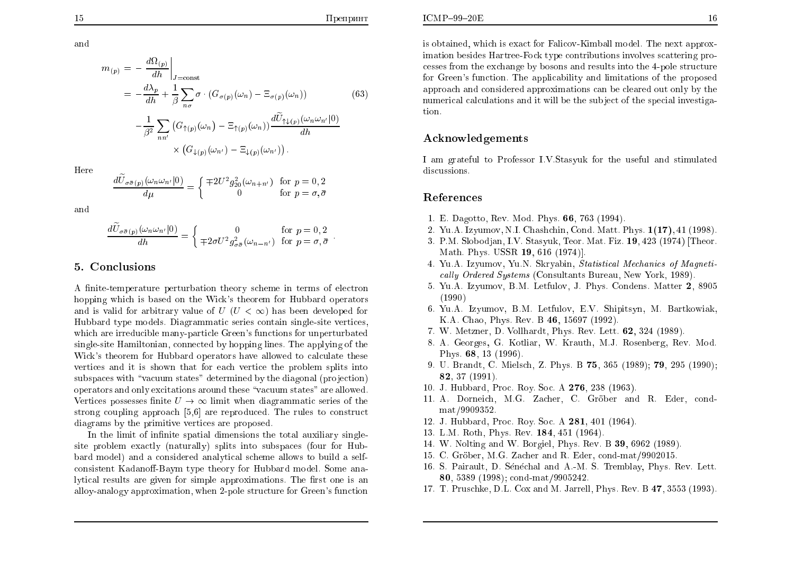and

$$
m_{(p)} = -\frac{d\Omega_{(p)}}{dh}\Big|_{J=\text{const}}
$$
  
=  $-\frac{d\lambda_p}{dh} + \frac{1}{\beta} \sum_{n\sigma} \sigma \cdot (G_{\sigma(p)}(\omega_n) - \Xi_{\sigma(p)}(\omega_n))$  (63)  
 $-\frac{1}{\beta^2} \sum_{nn'} (G_{\uparrow(p)}(\omega_n) - \Xi_{\uparrow(p)}(\omega_n)) \frac{d\widetilde{U}_{\uparrow\downarrow(p)}(\omega_{n'}\omega_{n'}|0)}{dh}$   
 $\times (G_{\downarrow(p)}(\omega_{n'}) - \Xi_{\downarrow(p)}(\omega_{n'}))$ .

Here

$$
\frac{d\widetilde{U}_{\sigma\bar{\sigma}(p)}(\omega_n\omega_{n'}|0)}{d\mu} = \begin{cases} \mp 2U^2 g_{20}^2(\omega_{n+n'}) & \text{for } p = 0, 2\\ 0 & \text{for } p = \sigma, \bar{\sigma} \end{cases}
$$

and

$$
\frac{d\tilde{U}_{\sigma\bar{\sigma}(p)}(\omega_n\omega_{n'}|0)}{dh} = \begin{cases} 0 & \text{for } p = 0, 2\\ \mp 2\sigma U^2 g_{\sigma\bar{\sigma}}^2(\omega_{n-n'}) & \text{for } p = \sigma, \bar{\sigma} \end{cases}
$$

### 5. Conclusions

A finite-temperature perturbation theory scheme in terms of electron hopping which is based on the Wick's theorem for Hubbard operators and is valid for arbitrary value of  $U$  ( $U < \infty$ ) has been developed for Hubbard type models. Diagrammatic series contain single-site vertices, which are irreducible many-particle Green's functions for unperturbated single-site Hamiltonian, connected by hopping lines. The applying of the Wick's theorem for Hubbard operators have allowed to calculate these vertices and it is shown that for each vertice the problem splits into subspaces with "vacuum states" determined by the diagonal (projection) operators and only excitations around these "vacuum states" are allowed. Vertices possesses finite  $U \rightarrow \infty$  limit when diagrammatic series of the strong coupling approach [5,6] are reproduced. The rules to construct diagrams by the primitive vertices are proposed.

In the limit of infinite spatial dimensions the total auxiliary singlesite problem exactly (naturally) splits into subspaces (four for Hubbard model) and a considered analytical scheme allows to build a selfconsistent Kadanoff-Baym type theory for Hubbard model. Some analytical results are given for simple approximations. The first one is an alloy-analogy approximation, when 2-pole structure for Green's function

is obtained, which is exact for Falicov-Kimball model. The next approximation besides Hartree-Fock type contributions involves scattering processes from the exchange by bosons and results into the 4-pole structure for Green's function. The applicability and limitations of the proposed approach and considered approximations can be cleared out only by the numerical calculations and it will be the subject of the special investigation.

## Acknowledgements

I am grateful to Professor I.V.Stasyuk for the useful and stimulated discussions.

### References

- 1. E. Dagotto, Rev. Mod. Phys. 66, 763 (1994).
- 2. Yu.A. Izyumov, N.I. Chashchin, Cond. Matt. Phys. 1(17), 41 (1998).
- 3. P.M. Slobodjan, I.V. Stasyuk, Teor. Mat. Fiz. 19, 423 (1974) [Theor. Math. Phys. USSR 19, 616 (1974)].
- 4. Yu.A. Izyumov, Yu.N. Skryabin, Statistical Mechanics of Magnetically Ordered Systems (Consultants Bureau, New York, 1989).
- 5. Yu.A. Izyumov, B.M. Letfulov, J. Phys. Condens. Matter 2, 8905  $(1990)$
- 6. Yu.A. Izyumov, B.M. Letfulov, E.V. Shipitsyn, M. Bartkowiak, K.A. Chao, Phys. Rev. B 46, 15697 (1992).
- 7. W. Metzner, D. Vollhardt, Phys. Rev. Lett. 62, 324 (1989).
- 8. A. Georges, G. Kotliar, W. Krauth, M.J. Rosenberg, Rey. Mod. Phys. 68, 13 (1996).
- 9. U. Brandt, C. Mielsch, Z. Phys. B 75, 365 (1989); 79, 295 (1990); 82, 37 (1991)
- 10. J. Hubbard, Proc. Roy. Soc. A 276, 238 (1963).
- 11. A. Dorneich, M.G. Zacher, C. Gröber and R. Eder, condmat/9909352.
- 12. J. Hubbard, Proc. Roy. Soc. A 281, 401 (1964).
- 13. L.M. Roth, Phys. Rev. 184, 451 (1964).
- 14. W. Nolting and W. Borgiel, Phys. Rev. B 39, 6962 (1989)
- 15. C. Gröber, M.G. Zacher and R. Eder, cond-mat/9902015.
- 16. S. Pairault, D. Sénéchal and A.-M. S. Tremblay, Phys. Rev. Lett. 80, 5389 (1998); cond-mat/9905242.
- 17. T. Pruschke, D.L. Cox and M. Jarrell, Phys. Rev. B 47, 3553 (1993).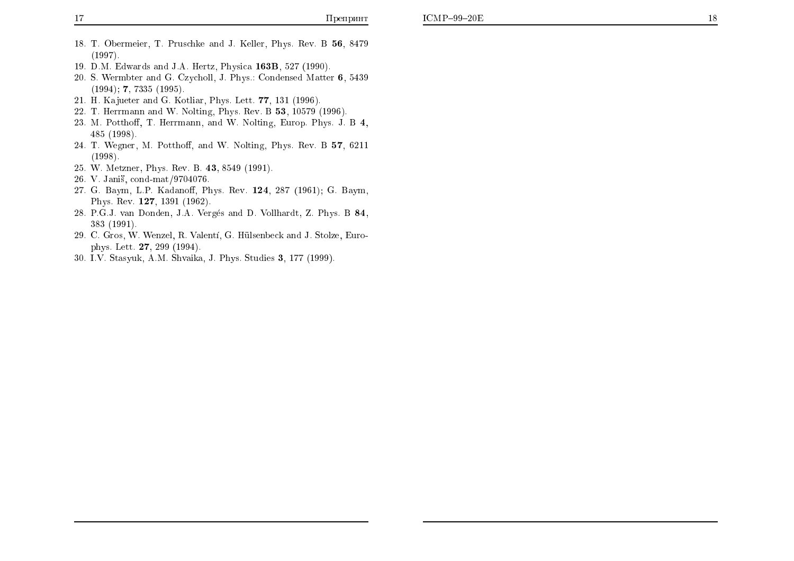- 18. T. Obermeier, T. Pruschke and J. Keller, Phys. Rev. B 56, 8479  $(1997).$
- 19. D.M. Edwards and J.A. Hertz, Physica 163B, 527 (1990).
- 20. S. Wermbter and G. Czycholl, J. Phys.: Condensed Matter 6, 5439  $(1994)$ ; 7, 7335  $(1995)$ .
- 21. H. Kajueter and G. Kotliar, Phys. Lett. 77, 131 (1996).
- 22. T. Herrmann and W. Nolting, Phys. Rev. B 53, 10579 (1996).
- 23. M. Potthoff, T. Herrmann, and W. Nolting, Europ. Phys. J. B 4, 485 (1998).
- 24. T. Wegner, M. Potthoff, and W. Nolting, Phys. Rev. B 57, 6211  $(1998).$
- 25. W. Metzner, Phys. Rev. B. 43, 8549 (1991).
- 26. V. Janiš, cond-mat/9704076.
- 27. G. Baym, L.P. Kadanoff, Phys. Rev. 124, 287 (1961); G. Baym, Phys. Rev. 127, 1391 (1962).
- 28. P.G.J. van Donden, J.A. Vergés and D. Vollhardt, Z. Phys. B 84, 383 (1991).
- 29. C. Gros, W. Wenzel, R. Valentí, G. Hülsenbeck and J. Stolze, Europhys. Lett. 27, 299 (1994).
- 30. I.V. Stasyuk, A.M. Shvaika, J. Phys. Studies 3, 177 (1999).